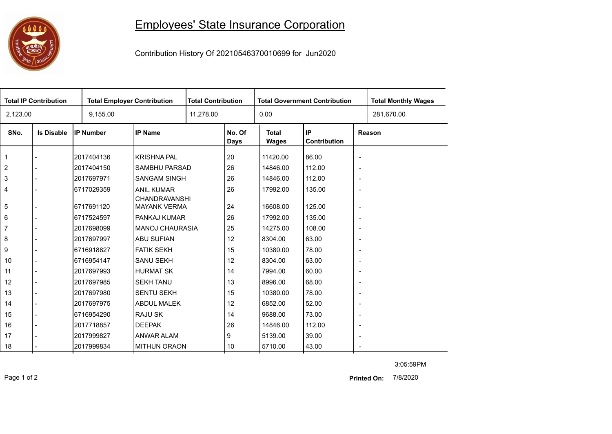## 0000

## Employees' State Insurance Corporation

Contribution History Of 20210546370010699 for Jun2020

| <b>Total IP Contribution</b> |                   |                  | <b>Total Employer Contribution</b>          |           | <b>Total Contribution</b> |                       | <b>Total Government Contribution</b> | <b>Total Monthly Wages</b> |            |  |
|------------------------------|-------------------|------------------|---------------------------------------------|-----------|---------------------------|-----------------------|--------------------------------------|----------------------------|------------|--|
| 2,123.00                     |                   | 9,155.00         |                                             | 11,278.00 |                           | 0.00                  |                                      |                            | 281,670.00 |  |
| SNo.                         | <b>Is Disable</b> | <b>IP Number</b> | <b>IP Name</b>                              |           | No. Of<br><b>Days</b>     | <b>Total</b><br>Wages | IP<br>Contribution                   | Reason                     |            |  |
| 1                            |                   | 2017404136       | <b>KRISHNA PAL</b>                          |           | 20                        | 11420.00              | 86.00                                | $\overline{\phantom{a}}$   |            |  |
| $\overline{2}$               |                   | 2017404150       | SAMBHU PARSAD                               |           | 26                        | 14846.00              | 112.00                               | $\overline{\phantom{a}}$   |            |  |
| 3                            |                   | 2017697971       | <b>SANGAM SINGH</b>                         |           | 26                        | 14846.00              | 112.00                               | $\overline{\phantom{a}}$   |            |  |
| 4                            |                   | 6717029359       | <b>ANIL KUMAR</b>                           |           | 26                        | 17992.00              | 135.00                               | $\overline{\phantom{a}}$   |            |  |
| 5                            |                   | 6717691120       | <b>CHANDRAVANSHI</b><br><b>MAYANK VERMA</b> |           | 24                        | 16608.00              | 125.00                               | $\overline{\phantom{a}}$   |            |  |
| 6                            |                   | 6717524597       | PANKAJ KUMAR                                |           | 26                        | 17992.00              | 135.00                               | $\overline{\phantom{a}}$   |            |  |
| 7                            |                   | 2017698099       | <b>MANOJ CHAURASIA</b>                      |           | 25                        | 14275.00              | 108.00                               | $\overline{\phantom{a}}$   |            |  |
| 8                            |                   | 2017697997       | <b>ABU SUFIAN</b>                           |           | 12                        | 8304.00               | 63.00                                | $\overline{\phantom{a}}$   |            |  |
| 9                            |                   | 6716918827       | <b>FATIK SEKH</b>                           |           | 15                        | 10380.00              | 78.00                                | $\overline{\phantom{a}}$   |            |  |
| 10                           |                   | 6716954147       | <b>SANU SEKH</b>                            |           | 12                        | 8304.00               | 63.00                                | $\overline{\phantom{a}}$   |            |  |
| 11                           |                   | 2017697993       | <b>HURMAT SK</b>                            |           | 14                        | 7994.00               | 60.00                                | $\overline{\phantom{a}}$   |            |  |
| 12                           |                   | 2017697985       | <b>SEKH TANU</b>                            |           | 13                        | 8996.00               | 68.00                                | $\overline{\phantom{a}}$   |            |  |
| 13                           |                   | 2017697980       | <b>SENTU SEKH</b>                           |           | 15                        | 10380.00              | 78.00                                | $\overline{\phantom{a}}$   |            |  |
| 14                           |                   | 2017697975       | <b>ABDUL MALEK</b>                          |           | 12                        | 6852.00               | 52.00                                | $\overline{\phantom{a}}$   |            |  |
| 15                           |                   | 6716954290       | RAJU SK                                     |           | 14                        | 9688.00               | 73.00                                | $\overline{\phantom{a}}$   |            |  |
| 16                           |                   | 2017718857       | <b>DEEPAK</b>                               |           | 26                        | 14846.00              | 112.00                               | $\overline{\phantom{a}}$   |            |  |
| 17                           |                   | 2017999827       | ANWAR ALAM                                  |           | 9                         | 5139.00               | 39.00                                | $\overline{\phantom{a}}$   |            |  |
| 18                           |                   | 2017999834       | <b>MITHUN ORAON</b>                         |           | 10                        | 5710.00               | 43.00                                | $\sim$                     |            |  |

3:05:59PM